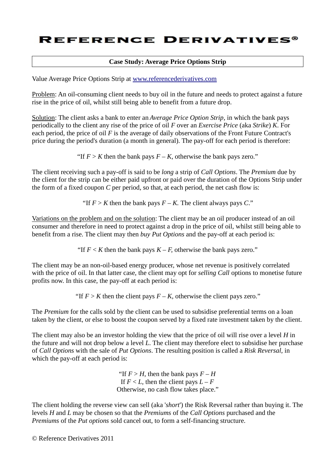## **REFERENCE DERIVATIVES®**

### **Case Study: Average Price Options Strip**

Value Average Price Options Strip at www.referencederivatives.com

Problem: An oil-consuming client needs to buy oil in the future and needs to protect against a future rise in the price of oil, whilst still being able to benefit from a future drop.

Solution: The client asks a bank to enter an *Average Price Option Strip*, in which the bank pays periodically to the client any rise of the price of oil *F* over an *Exercise Price* (aka *Strike*) *K*. For each period, the price of oil *F* is the average of daily observations of the Front Future Contract's price during the period's duration (a month in general). The pay-off for each period is therefore:

"If  $F > K$  then the bank pays  $F - K$ , otherwise the bank pays zero."

The client receiving such a pay-off is said to be *long* a strip of *Call Options*. The *Premium* due by the client for the strip can be either paid upfront or paid over the duration of the Options Strip under the form of a fixed coupon *C* per period, so that, at each period, the net cash flow is:

"If  $F > K$  then the bank pays  $F - K$ . The client always pays *C*."

Variations on the problem and on the solution: The client may be an oil producer instead of an oil consumer and therefore in need to protect against a drop in the price of oil, whilst still being able to benefit from a rise. The client may then *buy Put Options* and the pay-off at each period is:

"If  $F \le K$  then the bank pays  $K - F$ , otherwise the bank pays zero."

The client may be an non-oil-based energy producer, whose net revenue is positively correlated with the price of oil. In that latter case, the client may opt for *selling Call* options to monetise future profits now. In this case, the pay-off at each period is:

"If  $F > K$  then the client pays  $F - K$ , otherwise the client pays zero."

The *Premium* for the calls sold by the client can be used to subsidise preferential terms on a loan taken by the client, or else to boost the coupon served by a fixed rate investment taken by the client.

The client may also be an investor holding the view that the price of oil will rise over a level *H* in the future and will not drop below a level *L*. The client may therefore elect to subsidise her purchase of *Call Options* with the sale of *Put Options*. The resulting position is called a *Risk Reversal*, in which the pay-off at each period is:

> "If  $F > H$ , then the bank pays  $F - H$ If  $F < L$ , then the client pays  $L - F$ Otherwise, no cash flow takes place."

The client holding the reverse view can sell (aka '*short*') the Risk Reversal rather than buying it. The levels *H* and *L* may be chosen so that the *Premiums* of the *Call Options* purchased and the *Premiums* of the *Put options* sold cancel out, to form a self-financing structure.

© Reference Derivatives 2011